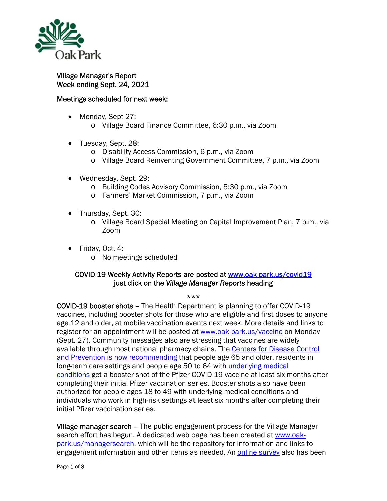

## Village Manager's Report Week ending Sept. 24, 2021

## Meetings scheduled for next week:

- Monday, Sept 27:
	- o Village Board Finance Committee, 6:30 p.m., via Zoom
- Tuesday, Sept. 28:
	- o Disability Access Commission, 6 p.m., via Zoom
	- o Village Board Reinventing Government Committee, 7 p.m., via Zoom
- Wednesday, Sept. 29:
	- o Building Codes Advisory Commission, 5:30 p.m., via Zoom
	- o Farmers' Market Commission, 7 p.m., via Zoom
- Thursday, Sept. 30:
	- o Village Board Special Meeting on Capital Improvement Plan, 7 p.m., via Zoom
- Friday, Oct. 4: o No meetings scheduled

## COVID-19 Weekly Activity Reports are posted at www.oak-park.us/covid19 just click on the *Village Manager Reports* heading

## \*\*\*

COVID-19 booster shots – The Health Department is planning to offer COVID-19 vaccines, including booster shots for those who are eligible and first doses to anyone age 12 and older, at mobile vaccination events next week. More details and links to register for an appointment will be posted at www.oak-park.us/vaccine on Monday (Sept. 27). Community messages also are stressing that vaccines are widely available through most national pharmacy chains. The Centers for Disease Control and Prevention is now recommending that people age 65 and older, residents in long-term care settings and people age 50 to 64 with underlying medical conditions get a booster shot of the Pfizer COVID-19 vaccine at least six months after completing their initial Pfizer vaccination series. Booster shots also have been authorized for people ages 18 to 49 with underlying medical conditions and individuals who work in high-risk settings at least six months after completing their initial Pfizer vaccination series.

Village manager search - The public engagement process for the Village Manager search effort has begun. A dedicated web page has been created at www.oakpark.us/managersearch, which will be the repository for information and links to engagement information and other items as needed. An online survey also has been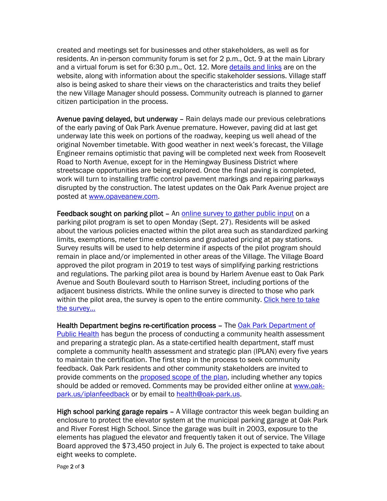created and meetings set for businesses and other stakeholders, as well as for residents. An in-person community forum is set for 2 p.m., Oct. 9 at the main Library and a virtual forum is set for 6:30 p.m., Oct. 12. More details and links are on the website, along with information about the specific stakeholder sessions. Village staff also is being asked to share their views on the characteristics and traits they belief the new Village Manager should possess. Community outreach is planned to garner citizen participation in the process.

Avenue paving delayed, but underway – Rain delays made our previous celebrations of the early paving of Oak Park Avenue premature. However, paving did at last get underway late this week on portions of the roadway, keeping us well ahead of the original November timetable. With good weather in next week's forecast, the Village Engineer remains optimistic that paving will be completed next week from Roosevelt Road to North Avenue, except for in the Hemingway Business District where streetscape opportunities are being explored. Once the final paving is completed, work will turn to installing traffic control pavement markings and repairing parkways disrupted by the construction. The latest updates on the Oak Park Avenue project are posted at www.opaveanew.com.

Feedback sought on parking pilot – An online survey to gather public input on a parking pilot program is set to open Monday (Sept. 27). Residents will be asked about the various policies enacted within the pilot area such as standardized parking limits, exemptions, meter time extensions and graduated pricing at pay stations. Survey results will be used to help determine if aspects of the pilot program should remain in place and/or implemented in other areas of the Village. The Village Board approved the pilot program in 2019 to test ways of simplifying parking restrictions and regulations. The parking pilot area is bound by Harlem Avenue east to Oak Park Avenue and South Boulevard south to Harrison Street, including portions of the adjacent business districts. While the online survey is directed to those who park within the pilot area, the survey is open to the entire community. Click here to take the survey…

Health Department begins re-certification process – The Oak Park Department of **Public Health has begun the process of conducting a community health assessment** and preparing a strategic plan. As a state-certified health department, staff must complete a community health assessment and strategic plan (IPLAN) every five years to maintain the certification. The first step in the process to seek community feedback. Oak Park residents and other community stakeholders are invited to provide comments on the proposed scope of the plan, including whether any topics should be added or removed. Comments may be provided either online at www.oakpark.us/iplanfeedback or by email to health@oak-park.us.

High school parking garage repairs – A Village contractor this week began building an enclosure to protect the elevator system at the municipal parking garage at Oak Park and River Forest High School. Since the garage was built in 2003, exposure to the elements has plagued the elevator and frequently taken it out of service. The Village Board approved the \$73,450 project in July 6. The project is expected to take about eight weeks to complete.